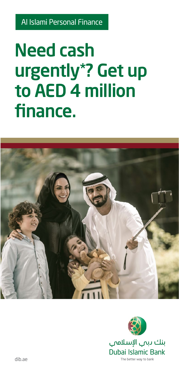Al Islami Personal Finance

# **Need cash** urgently\*? Get up to AED 4 million finance.



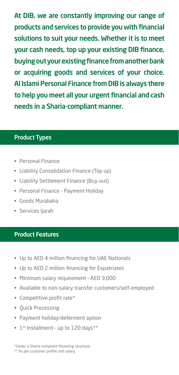At DIB, we are constantly improving our range of products and services to provide you with financial solutions to suit your needs. Whether it is to meet your cash needs, top up your existing DIB finance, buving out your existing finance from another bank or acquiring goods and services of your choice. Al Islami Personal Finance from DIB is always there to help you meet all your urgent financial and cash needs in a Sharia-compliant manner.

#### **Product Types**

- Personal Finance
- Liability Consolidation Finance (Top up)
- Liability Settlement Finance (Buy-out)
- Personal Finance Payment Holiday
- Goods Murabaha
- Services liarah

#### **Product Features**

- Up to AED 4 million financing for UAE Nationals
- Up to AED 2 million financing for Expatriates
- Minimum salary requirement AED 3,000
- Available to non-salary transfer customers/self-employed
- Competitive profit rate\*
- Ouick Processing
- Payment holiday/deferment option
- 1st Installment up to 120 days\*\*

\*Under a Sharia-complaint financing structure.

\*\* As per customer profile and salary.